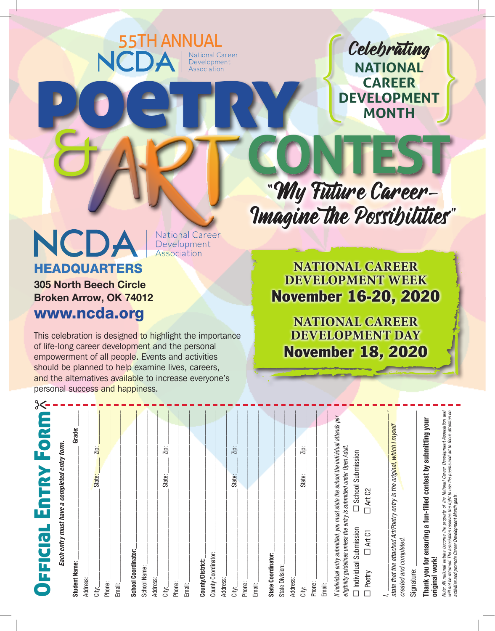Celebrating **NATIONAL CAREER DEVELOPMENT MONTH** Celebrating<br>
NATIONAL<br>
CAREER<br>
DEVELOPMENT<br>
MONTH

"My Future Career-<br>"Imagine the Possibilities" **CONTEST**

### NCDA HEADQUARTERS

National Career<br>Development Association

position Association

**S5TH ANNUAL**<br> **NCDA** Bevelopment

305 North Beech Circle Broken Arrow, OK 74012 www.ncda.org

 $3$   $-$ 

This celebration is designed to highlight the importance of life-long career development and the personal empowerment of all people. Events and activities should be planned to help examine lives, careers, and the alternatives available to increase everyone's personal success and happiness.

EART

**NATIONAL CAREER DEVELOPMENT WEEK** November 16-20, 2020

**NATIONAL CAREER DEVELOPMENT DAY** November 18, 2020

| Form <sup>3</sup><br>EnTRY<br>FFICIa                                                                                                                                                                                                 |
|--------------------------------------------------------------------------------------------------------------------------------------------------------------------------------------------------------------------------------------|
| Each entry must have a completed entry form.                                                                                                                                                                                         |
| Grade:<br><b>Student Name:</b>                                                                                                                                                                                                       |
| Address:                                                                                                                                                                                                                             |
| Ζiρ:<br>State:<br>City:                                                                                                                                                                                                              |
| Phone:                                                                                                                                                                                                                               |
| Email:                                                                                                                                                                                                                               |
| School Coordinator:                                                                                                                                                                                                                  |
| School Name:                                                                                                                                                                                                                         |
| Address:                                                                                                                                                                                                                             |
| Zip:<br>State:<br>City:                                                                                                                                                                                                              |
| Phone:                                                                                                                                                                                                                               |
| Email:                                                                                                                                                                                                                               |
| County/District:                                                                                                                                                                                                                     |
| County Coordinator:                                                                                                                                                                                                                  |
| Address:                                                                                                                                                                                                                             |
| Zip:<br>State:<br>City:                                                                                                                                                                                                              |
| Phone:                                                                                                                                                                                                                               |
| Email:                                                                                                                                                                                                                               |
| State Coordinator:                                                                                                                                                                                                                   |
| State Division:                                                                                                                                                                                                                      |
| Address:                                                                                                                                                                                                                             |
| Zip:<br>State:<br>City:                                                                                                                                                                                                              |
| Phone:                                                                                                                                                                                                                               |
| Email:                                                                                                                                                                                                                               |
| If individual entry submitted, you must state the school the individual attends per<br>eligibility guidelines unless the entry is submitted under Open Adult.                                                                        |
| □ School Submission<br>□ Individual Submission                                                                                                                                                                                       |
| D Art C2<br><b>DATC1</b><br>Poetry                                                                                                                                                                                                   |
|                                                                                                                                                                                                                                      |
| state that the attached Art/Poetry entry is the original, which I myself                                                                                                                                                             |
| created and completed.<br>Signature:                                                                                                                                                                                                 |
| Thank you for ensuring a fun-filled contest by submitting your                                                                                                                                                                       |
| original work!                                                                                                                                                                                                                       |
| Note: All national entries become the property of the National Career Development Association and<br>will not be returned. The association reserves the right to use the poems and art to focus attention on<br>activities and promo |